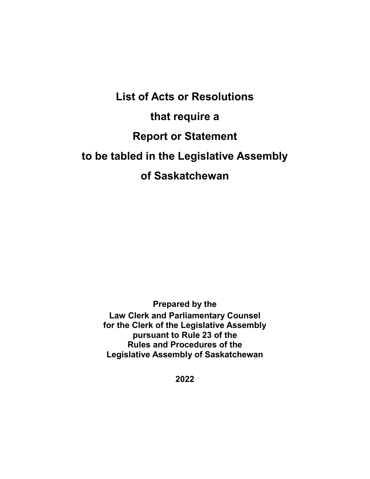**List of Acts or Resolutions that require a Report or Statement to be tabled in the Legislative Assembly of Saskatchewan**

> **Prepared by the Law Clerk and Parliamentary Counsel for the Clerk of the Legislative Assembly pursuant to Rule 23 of the Rules and Procedures of the Legislative Assembly of Saskatchewan**

> > **2022**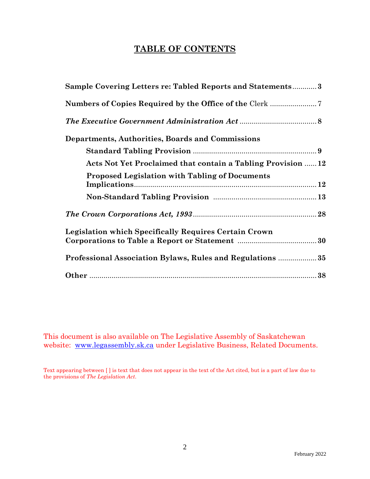# **TABLE OF CONTENTS**

| Sample Covering Letters re: Tabled Reports and Statements3   |
|--------------------------------------------------------------|
|                                                              |
|                                                              |
| Departments, Authorities, Boards and Commissions             |
|                                                              |
| Acts Not Yet Proclaimed that contain a Tabling Provision  12 |
| <b>Proposed Legislation with Tabling of Documents</b>        |
|                                                              |
|                                                              |
| <b>Legislation which Specifically Requires Certain Crown</b> |
| Professional Association Bylaws, Rules and Regulations  35   |
|                                                              |

This document is also available on The Legislative Assembly of Saskatchewan website: [www.legassembly.sk.ca](http://www.legassembly.sk.ca/) under Legislative Business, Related Documents.

Text appearing between [ ] is text that does not appear in the text of the Act cited, but is a part of law due to the provisions of *The Legislation Act*.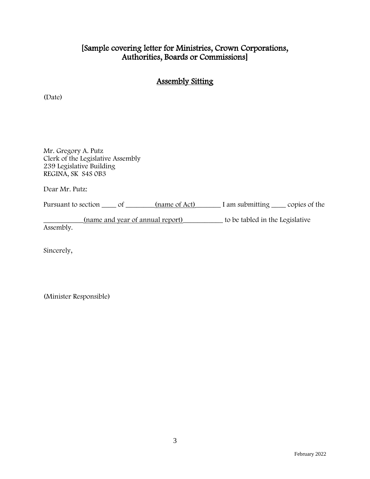# [Sample covering letter for Ministries, Crown Corporations, Authorities, Boards or Commissions]

# Assembly Sitting

(Date)

Mr. Gregory A. Putz Clerk of the Legislative Assembly 239 Legislative Building REGINA, SK S4S 0B3

Dear Mr. Putz:

Pursuant to section \_\_\_\_\_ of \_\_\_\_\_\_\_(name of Act) I am submitting \_\_\_\_\_ copies of the

\_\_\_\_\_\_\_\_\_\_\_(name and year of annual report)\_\_\_\_\_\_\_\_\_\_\_ to be tabled in the Legislative

Assembly.

Sincerely,

(Minister Responsible)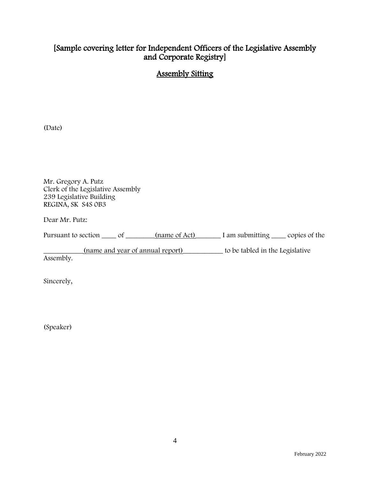# [Sample covering letter for Independent Officers of the Legislative Assembly and Corporate Registry]

# Assembly Sitting

(Date)

Mr. Gregory A. Putz Clerk of the Legislative Assembly 239 Legislative Building REGINA, SK S4S 0B3

Dear Mr. Putz:

| Pursuant to section<br>(name of Act)<br>I am submitting | copies of the |
|---------------------------------------------------------|---------------|
|---------------------------------------------------------|---------------|

\_\_\_\_\_\_\_\_\_\_\_(name and year of annual report)\_\_\_\_\_\_\_\_\_\_\_ to be tabled in the Legislative

Assembly.

Sincerely,

(Speaker)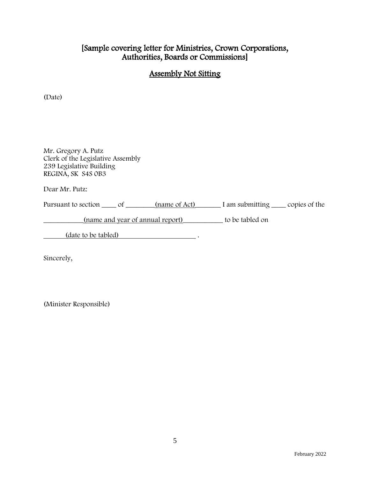# [Sample covering letter for Ministries, Crown Corporations, Authorities, Boards or Commissions]

# Assembly Not Sitting

(Date)

Mr. Gregory A. Putz Clerk of the Legislative Assembly 239 Legislative Building REGINA, SK S4S 0B3

Dear Mr. Putz:

Pursuant to section \_\_\_\_\_ of \_\_\_\_\_\_\_(name of Act) I am submitting \_\_\_\_\_ copies of the

\_\_\_\_\_\_\_\_\_\_\_(name and year of annual report)\_\_\_\_\_\_\_\_\_\_\_ to be tabled on

(date <u>to be tabled</u>)  $\cdot$ 

Sincerely,

(Minister Responsible)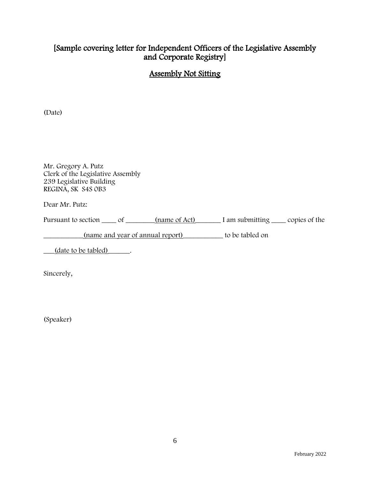# [Sample covering letter for Independent Officers of the Legislative Assembly and Corporate Registry]

# Assembly Not Sitting

(Date)

Mr. Gregory A. Putz Clerk of the Legislative Assembly 239 Legislative Building REGINA, SK S4S 0B3

Dear Mr. Putz:

Pursuant to section \_\_\_\_\_ of \_\_\_\_\_\_\_(name of Act) I am submitting \_\_\_\_\_ copies of the

\_\_\_\_\_\_\_\_\_\_\_(name and year of annual report)\_\_\_\_\_\_\_\_\_\_\_ to be tabled on

\_\_\_(date to be tabled)\_\_\_\_\_\_.

Sincerely,

(Speaker)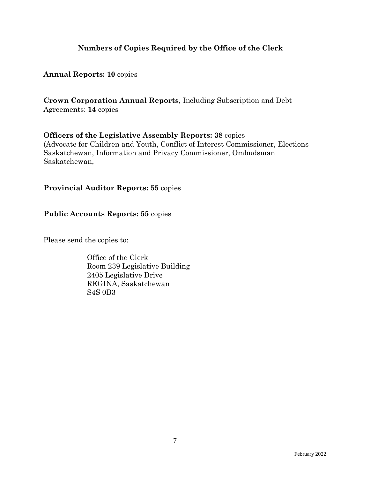# **Numbers of Copies Required by the Office of the Clerk**

## **Annual Reports: 10** copies

**Crown Corporation Annual Reports**, Including Subscription and Debt Agreements: **14** copies

## **Officers of the Legislative Assembly Reports: 38** copies (Advocate for Children and Youth, Conflict of Interest Commissioner, Elections Saskatchewan, Information and Privacy Commissioner, Ombudsman

Saskatchewan,

# **Provincial Auditor Reports: 55** copies

# **Public Accounts Reports: 55** copies

Please send the copies to:

Office of the Clerk Room 239 Legislative Building 2405 Legislative Drive REGINA, Saskatchewan S4S 0B3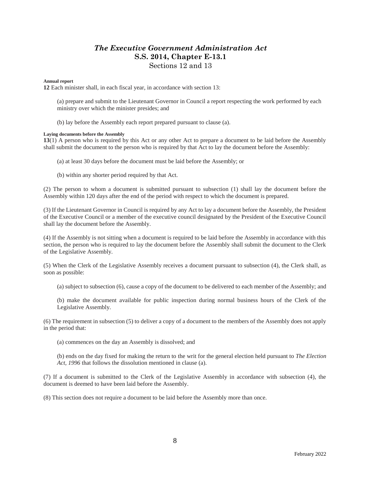#### *The Executive Government Administration Act* **S.S. 2014, Chapter E-13.1** Sections 12 and 13

#### **Annual report**

**12** Each minister shall, in each fiscal year, in accordance with section 13:

(a) prepare and submit to the Lieutenant Governor in Council a report respecting the work performed by each ministry over which the minister presides; and

(b) lay before the Assembly each report prepared pursuant to clause (a).

#### **Laying documents before the Assembly**

**13**(1) A person who is required by this Act or any other Act to prepare a document to be laid before the Assembly shall submit the document to the person who is required by that Act to lay the document before the Assembly:

(a) at least 30 days before the document must be laid before the Assembly; or

(b) within any shorter period required by that Act.

(2) The person to whom a document is submitted pursuant to subsection (1) shall lay the document before the Assembly within 120 days after the end of the period with respect to which the document is prepared.

(3) If the Lieutenant Governor in Council is required by any Act to lay a document before the Assembly, the President of the Executive Council or a member of the executive council designated by the President of the Executive Council shall lay the document before the Assembly.

(4) If the Assembly is not sitting when a document is required to be laid before the Assembly in accordance with this section, the person who is required to lay the document before the Assembly shall submit the document to the Clerk of the Legislative Assembly.

(5) When the Clerk of the Legislative Assembly receives a document pursuant to subsection (4), the Clerk shall, as soon as possible:

(a) subject to subsection (6), cause a copy of the document to be delivered to each member of the Assembly; and

(b) make the document available for public inspection during normal business hours of the Clerk of the Legislative Assembly.

(6) The requirement in subsection (5) to deliver a copy of a document to the members of the Assembly does not apply in the period that:

(a) commences on the day an Assembly is dissolved; and

(b) ends on the day fixed for making the return to the writ for the general election held pursuant to *The Election Act, 1996* that follows the dissolution mentioned in clause (a).

(7) If a document is submitted to the Clerk of the Legislative Assembly in accordance with subsection (4), the document is deemed to have been laid before the Assembly.

(8) This section does not require a document to be laid before the Assembly more than once.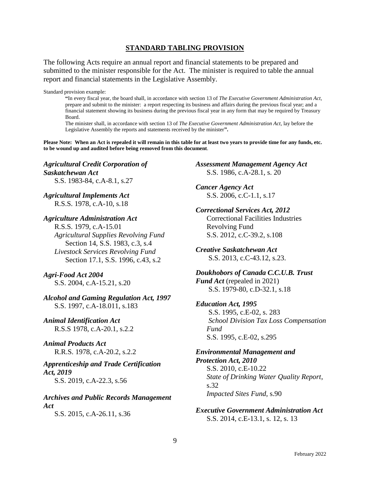#### **STANDARD TABLING PROVISION**

The following Acts require an annual report and financial statements to be prepared and submitted to the minister responsible for the Act. The minister is required to table the annual report and financial statements in the Legislative Assembly.

Standard provision example:

**"**In every fiscal year, the board shall, in accordance with section 13 of *The Executive Government Administration Act*, prepare and submit to the minister: a report respecting its business and affairs during the previous fiscal year; and a financial statement showing its business during the previous fiscal year in any form that may be required by Treasury Board.

The minister shall, in accordance with section 13 of *The Executive Government Administration Act*, lay before the Legislative Assembly the reports and statements received by the minister**".**

**Please Note: When an Act is repealed it will remain in this table for at least two years to provide time for any funds, etc. to be wound up and audited before being removed from this document**.

*Agricultural Credit Corporation of Saskatchewan Act* S.S. 1983-84, c.A-8.1, s.27

*Agricultural Implements Act* R.S.S. 1978, c.A-10, s.18

#### *Agriculture Administration Act*

R.S.S. 1979, c.A-15.01 *Agricultural Supplies Revolving Fund* Section 14, S.S. 1983, c.3, s.4 *Livestock Services Revolving Fund* Section 17.1, S.S. 1996, c.43, s.2

#### *Agri-Food Act 2004*

S.S. 2004, c.A-15.21, s.20

*Alcohol and Gaming Regulation Act, 1997* S.S. 1997, c.A-18.011, s.183

*Animal Identification Act* R.S.S 1978, c.A-20.1, s.2.2

*Animal Products Act* R.R.S. 1978, c.A-20.2, s.2.2

# *Apprenticeship and Trade Certification Act, 2019*

S.S. 2019, c.A-22.3, s.56

#### *Archives and Public Records Management Act*

S.S. 2015, c.A-26.11, s.36

*Assessment Management Agency Act* S.S. 1986, c.A-28.1, s. 20

*Cancer Agency Act* S.S. 2006, c.C-1.1, s.17

*Correctional Services Act, 2012* Correctional Facilities Industries Revolving Fund S.S. 2012, c.C-39.2, s.108

*Creative Saskatchewan Act* S.S. 2013, c.C-43.12, s.23.

*Doukhobors of Canada C.C.U.B. Trust Fund Act* (repealed in 2021) S.S. 1979-80, c.D-32.1, s.18

#### *Education Act, 1995* S.S. 1995, c.E-02, s. 283 *School Division Tax Loss Compensation Fund* S.S. 1995, c.E-02, s.295

#### *Environmental Management and Protection Act, 2010* S.S. 2010, c.E-10.22 *State of Drinking Water Quality Report*, s.32 *Impacted Sites Fund*, s.90

*Executive Government Administration Act* S.S. 2014, c.E-13.1, s. 12, s. 13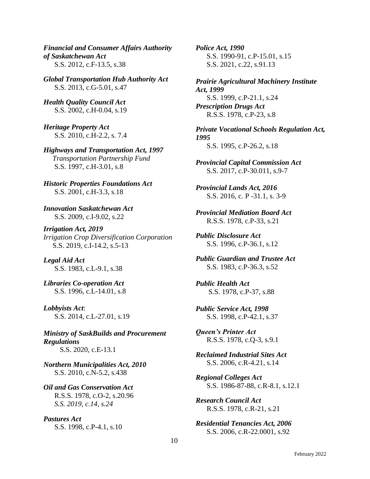*Financial and Consumer Affairs Authority of Saskatchewan Act* S.S. 2012, c.F-13.5, s.38

*Global Transportation Hub Authority Act* S.S. 2013, c.G-5.01, s.47

*Health Quality Council Act* S.S. 2002, c.H-0.04, s.19

*Heritage Property Act* S.S. 2010, c.H-2.2, s. 7.4

*Highways and Transportation Act, 1997 Transportation Partnership Fund* S.S. 1997, c.H-3.01, s.8

*Historic Properties Foundations Act* S.S. 2001, c.H-3.3, s.18

*Innovation Saskatchewan Act* S.S. 2009, c.I-9.02, s.22

*Irrigation Act, 2019 Irrigation Crop Diversification Corporation* S.S. 2019, c.I-14.2, s.5-13

*Legal Aid Act* S.S. 1983, c.L-9.1, s.38

*Libraries Co-operation Act* S.S. 1996, c.L-14.01, s.8

*Lobbyists Act*: S.S. 2014, c.L-27.01, s.19

*Ministry of SaskBuilds and Procurement Regulations* S.S. 2020, c.E-13.1

*Northern Municipalities Act, 2010* S.S. 2010, c.N-5.2, s.438

*Oil and Gas Conservation Act* R.S.S. 1978, c.O-2, s.20.96 *S.S. 2019, c.14, s.24*

*Pastures Act* S.S. 1998, c.P-4.1, s.10 *Police Act, 1990* S.S. 1990-91, c.P-15.01, s.15 S.S. 2021, c.22, s.91.13

*Prairie Agricultural Machinery Institute Act, 1999* S.S. 1999, c.P-21.1, s.24 *Prescription Drugs Act* R.S.S. 1978, c.P-23, s.8

*Private Vocational Schools Regulation Act, 1995* S.S. 1995, c.P-26.2, s.18

*Provincial Capital Commission Act* S.S. 2017, c.P-30.011, s.9-7

*Provincial Lands Act, 2016* S.S. 2016, c. P -31.1, s. 3-9

*Provincial Mediation Board Act* R.S.S. 1978, c.P-33, s.21

*Public Disclosure Act* S.S. 1996, c.P-36.1, s.12

*Public Guardian and Trustee Act* S.S. 1983, c.P-36.3, s.52

*Public Health Act* S.S. 1978, c.P-37, s.88

*Public Service Act, 1998* S.S. 1998, c.P-42.1, s.37

*Queen's Printer Act* R.S.S. 1978, c.Q-3, s.9.1

*Reclaimed Industrial Sites Act* S.S. 2006, c.R-4.21, s.14

*Regional Colleges Act* S.S. 1986-87-88, c.R-8.1, s.12.1

*Research Council Act* R.S.S. 1978, c.R-21, s.21

*Residential Tenancies Act, 2006* S.S. 2006, c.R-22.0001, s.92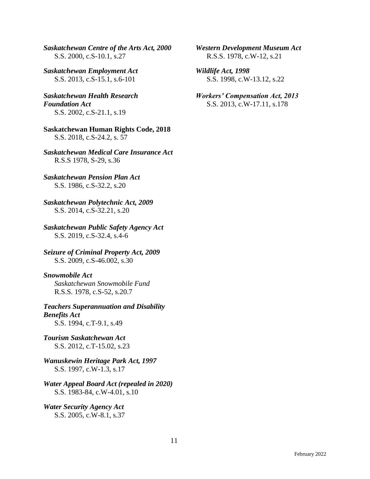*Saskatchewan Centre of the Arts Act, 2000* S.S. 2000, c.S-10.1, s.27

*Saskatchewan Employment Act* S.S. 2013, c.S-15.1, s.6-101

*Saskatchewan Health Research Foundation Act* S.S. 2002, c.S-21.1, s.19

**Saskatchewan Human Rights Code, 2018** S.S. 2018, c.S-24.2, s. 57

*Saskatchewan Medical Care Insurance Act* R.S.S 1978, S-29, s.36

*Saskatchewan Pension Plan Act* S.S. 1986, c.S-32.2, s.20

*Saskatchewan Polytechnic Act, 2009* S.S. 2014, c.S-32.21, s.20

*Saskatchewan Public Safety Agency Act* S.S. 2019, c.S-32.4, s.4-6

*Seizure of Criminal Property Act, 2009* S.S. 2009, c.S-46.002, s.30

#### *Snowmobile Act*

 *Saskatchewan Snowmobile Fund* R.S.S. 1978, c.S-52, s.20.7

*Teachers Superannuation and Disability Benefits Act* S.S. 1994, c.T-9.1, s.49

*Tourism Saskatchewan Act* S.S. 2012, c.T-15.02, s.23

*Wanuskewin Heritage Park Act, 1997* S.S. 1997, c.W-1.3, s.17

#### *Water Appeal Board Act (repealed in 2020)* S.S. 1983-84, c.W-4.01, s.10

*Water Security Agency Act* S.S. 2005, c.W-8.1, s.37 *Western Development Museum Act* R.S.S. 1978, c.W-12, s.21

*Wildlife Act, 1998* S.S. 1998, c.W-13.12, s.22

*Workers' Compensation Act, 2013* S.S. 2013, c.W-17.11, s.178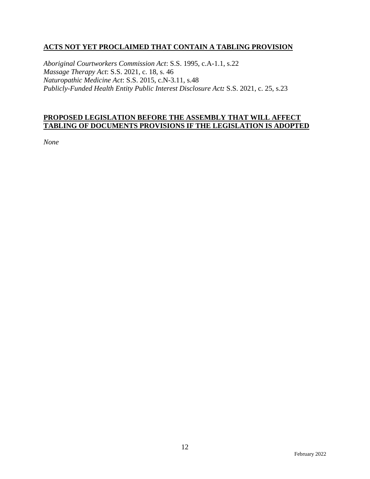## **ACTS NOT YET PROCLAIMED THAT CONTAIN A TABLING PROVISION**

*Aboriginal Courtworkers Commission Act*: S.S. 1995, c.A-1.1, s.22 *Massage Therapy Act*: S.S. 2021, c. 18, s. 46 *Naturopathic Medicine Act*: S.S. 2015, c.N-3.11, s.48 *Publicly-Funded Health Entity Public Interest Disclosure Act:* S.S. 2021, c. 25, s.23

#### **PROPOSED LEGISLATION BEFORE THE ASSEMBLY THAT WILL AFFECT TABLING OF DOCUMENTS PROVISIONS IF THE LEGISLATION IS ADOPTED**

*None*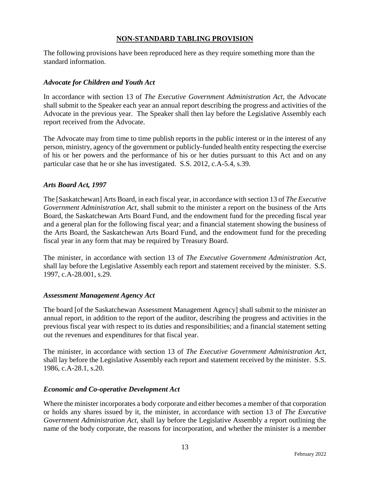#### **NON-STANDARD TABLING PROVISION**

The following provisions have been reproduced here as they require something more than the standard information.

#### *Advocate for Children and Youth Act*

In accordance with section 13 of *The Executive Government Administration Act*, the Advocate shall submit to the Speaker each year an annual report describing the progress and activities of the Advocate in the previous year. The Speaker shall then lay before the Legislative Assembly each report received from the Advocate.

The Advocate may from time to time publish reports in the public interest or in the interest of any person, ministry, agency of the government or publicly-funded health entity respecting the exercise of his or her powers and the performance of his or her duties pursuant to this Act and on any particular case that he or she has investigated. S.S. 2012, c.A-5.4, s.39.

#### *Arts Board Act, 1997*

The [Saskatchewan] Arts Board, in each fiscal year, in accordance with section 13 of *The Executive Government Administration Act*, shall submit to the minister a report on the business of the Arts Board, the Saskatchewan Arts Board Fund, and the endowment fund for the preceding fiscal year and a general plan for the following fiscal year; and a financial statement showing the business of the Arts Board, the Saskatchewan Arts Board Fund, and the endowment fund for the preceding fiscal year in any form that may be required by Treasury Board.

The minister, in accordance with section 13 of *The Executive Government Administration Act*, shall lay before the Legislative Assembly each report and statement received by the minister. S.S. 1997, c.A-28.001, s.29.

#### *Assessment Management Agency Act*

The board [of the Saskatchewan Assessment Management Agency] shall submit to the minister an annual report, in addition to the report of the auditor, describing the progress and activities in the previous fiscal year with respect to its duties and responsibilities; and a financial statement setting out the revenues and expenditures for that fiscal year.

The minister, in accordance with section 13 of *The Executive Government Administration Act*, shall lay before the Legislative Assembly each report and statement received by the minister. S.S. 1986, c.A-28.1, s.20.

#### *Economic and Co-operative Development Act*

Where the minister incorporates a body corporate and either becomes a member of that corporation or holds any shares issued by it, the minister, in accordance with section 13 of *The Executive Government Administration Act,* shall lay before the Legislative Assembly a report outlining the name of the body corporate, the reasons for incorporation, and whether the minister is a member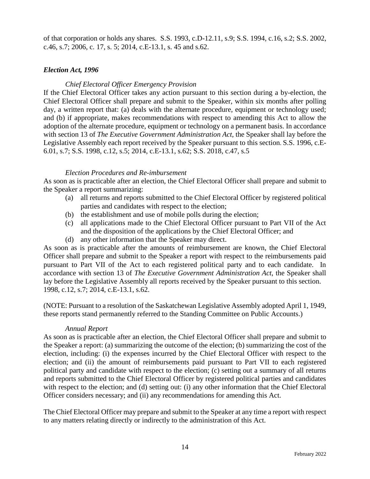of that corporation or holds any shares. S.S. 1993, c.D-12.11, s.9; S.S. 1994, c.16, s.2; S.S. 2002, c.46, s.7; 2006, c. 17, s. 5; 2014, c.E-13.1, s. 45 and s.62.

#### *Election Act, 1996*

#### *Chief Electoral Officer Emergency Provision*

If the Chief Electoral Officer takes any action pursuant to this section during a by-election, the Chief Electoral Officer shall prepare and submit to the Speaker, within six months after polling day, a written report that: (a) deals with the alternate procedure, equipment or technology used; and (b) if appropriate, makes recommendations with respect to amending this Act to allow the adoption of the alternate procedure, equipment or technology on a permanent basis. In accordance with section 13 of *The Executive Government Administration Act*, the Speaker shall lay before the Legislative Assembly each report received by the Speaker pursuant to this section. S.S. 1996, c.E-6.01, s.7; S.S. 1998, c.12, s.5; 2014, c.E-13.1, s.62; S.S. 2018, c.47, s.5

#### *Election Procedures and Re-imbursement*

As soon as is practicable after an election, the Chief Electoral Officer shall prepare and submit to the Speaker a report summarizing:

- (a) all returns and reports submitted to the Chief Electoral Officer by registered political parties and candidates with respect to the election;
- (b) the establishment and use of mobile polls during the election;
- (c) all applications made to the Chief Electoral Officer pursuant to Part VII of the Act and the disposition of the applications by the Chief Electoral Officer; and
- (d) any other information that the Speaker may direct.

As soon as is practicable after the amounts of reimbursement are known, the Chief Electoral Officer shall prepare and submit to the Speaker a report with respect to the reimbursements paid pursuant to Part VII of the Act to each registered political party and to each candidate. In accordance with section 13 of *The Executive Government Administration Act*, the Speaker shall lay before the Legislative Assembly all reports received by the Speaker pursuant to this section. 1998, c.12, s.7; 2014, c.E-13.1, s.62.

(NOTE: Pursuant to a resolution of the Saskatchewan Legislative Assembly adopted April 1, 1949, these reports stand permanently referred to the Standing Committee on Public Accounts.)

#### *Annual Report*

As soon as is practicable after an election, the Chief Electoral Officer shall prepare and submit to the Speaker a report: (a) summarizing the outcome of the election; (b) summarizing the cost of the election, including: (i) the expenses incurred by the Chief Electoral Officer with respect to the election; and (ii) the amount of reimbursements paid pursuant to Part VII to each registered political party and candidate with respect to the election; (c) setting out a summary of all returns and reports submitted to the Chief Electoral Officer by registered political parties and candidates with respect to the election; and (d) setting out: (i) any other information that the Chief Electoral Officer considers necessary; and (ii) any recommendations for amending this Act.

The Chief Electoral Officer may prepare and submit to the Speaker at any time a report with respect to any matters relating directly or indirectly to the administration of this Act.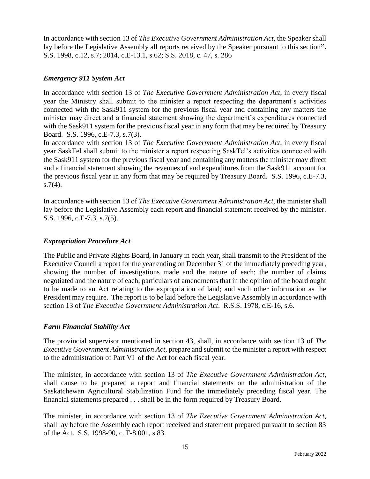In accordance with section 13 of *The Executive Government Administration Act*, the Speaker shall lay before the Legislative Assembly all reports received by the Speaker pursuant to this section**".** S.S. 1998, c.12, s.7; 2014, c.E-13.1, s.62; S.S. 2018, c. 47, s. 286

#### *Emergency 911 System Act*

In accordance with section 13 of *The Executive Government Administration Act*, in every fiscal year the Ministry shall submit to the minister a report respecting the department's activities connected with the Sask911 system for the previous fiscal year and containing any matters the minister may direct and a financial statement showing the department's expenditures connected with the Sask911 system for the previous fiscal year in any form that may be required by Treasury Board. S.S. 1996, c.E-7.3, s.7(3).

In accordance with section 13 of *The Executive Government Administration Act*, in every fiscal year SaskTel shall submit to the minister a report respecting SaskTel's activities connected with the Sask911 system for the previous fiscal year and containing any matters the minister may direct and a financial statement showing the revenues of and expenditures from the Sask911 account for the previous fiscal year in any form that may be required by Treasury Board. S.S. 1996, c.E-7.3,  $s.7(4)$ .

In accordance with section 13 of *The Executive Government Administration Act*, the minister shall lay before the Legislative Assembly each report and financial statement received by the minister. S.S. 1996, c.E-7.3, s.7(5).

#### *Expropriation Procedure Act*

The Public and Private Rights Board, in January in each year, shall transmit to the President of the Executive Council a report for the year ending on December 31 of the immediately preceding year, showing the number of investigations made and the nature of each; the number of claims negotiated and the nature of each; particulars of amendments that in the opinion of the board ought to be made to an Act relating to the expropriation of land; and such other information as the President may require. The report is to be laid before the Legislative Assembly in accordance with section 13 of *The Executive Government Administration Act*. R.S.S. 1978, c.E-16, s.6.

#### *Farm Financial Stability Act*

The provincial supervisor mentioned in section 43, shall, in accordance with section 13 of *The Executive Government Administration Act*, prepare and submit to the minister a report with respect to the administration of Part VI of the Act for each fiscal year.

The minister, in accordance with section 13 of *The Executive Government Administration Act*, shall cause to be prepared a report and financial statements on the administration of the Saskatchewan Agricultural Stabilization Fund for the immediately preceding fiscal year. The financial statements prepared . . . shall be in the form required by Treasury Board.

The minister, in accordance with section 13 of *The Executive Government Administration Act*, shall lay before the Assembly each report received and statement prepared pursuant to section 83 of the Act. S.S. 1998-90, c. F-8.001, s.83.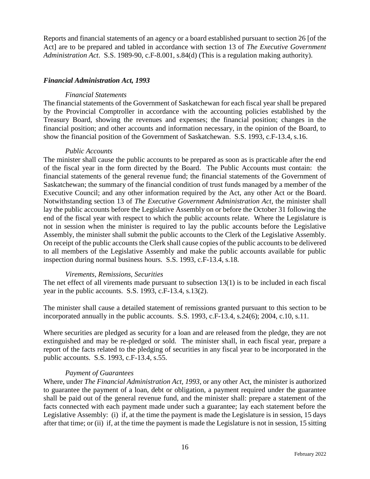Reports and financial statements of an agency or a board established pursuant to section 26 [of the Act] are to be prepared and tabled in accordance with section 13 of *The Executive Government Administration Act*. S.S. 1989-90, c.F-8.001, s.84(d) (This is a regulation making authority).

#### *Financial Administration Act, 1993*

#### *Financial Statements*

The financial statements of the Government of Saskatchewan for each fiscal year shall be prepared by the Provincial Comptroller in accordance with the accounting policies established by the Treasury Board, showing the revenues and expenses; the financial position; changes in the financial position; and other accounts and information necessary, in the opinion of the Board, to show the financial position of the Government of Saskatchewan. S.S. 1993, c.F-13.4, s.16.

#### *Public Accounts*

The minister shall cause the public accounts to be prepared as soon as is practicable after the end of the fiscal year in the form directed by the Board. The Public Accounts must contain: the financial statements of the general revenue fund; the financial statements of the Government of Saskatchewan; the summary of the financial condition of trust funds managed by a member of the Executive Council; and any other information required by the Act, any other Act or the Board. Notwithstanding section 13 of *The Executive Government Administration Act*, the minister shall lay the public accounts before the Legislative Assembly on or before the October 31 following the end of the fiscal year with respect to which the public accounts relate. Where the Legislature is not in session when the minister is required to lay the public accounts before the Legislative Assembly, the minister shall submit the public accounts to the Clerk of the Legislative Assembly. On receipt of the public accounts the Clerk shall cause copies of the public accounts to be delivered to all members of the Legislative Assembly and make the public accounts available for public inspection during normal business hours. S.S. 1993, c.F-13.4, s.18.

#### *Virements, Remissions, Securities*

The net effect of all virements made pursuant to subsection 13(1) is to be included in each fiscal year in the public accounts. S.S. 1993, c.F-13.4, s.13(2).

The minister shall cause a detailed statement of remissions granted pursuant to this section to be incorporated annually in the public accounts. S.S. 1993, c.F-13.4, s.24(6); 2004, c.10, s.11.

Where securities are pledged as security for a loan and are released from the pledge, they are not extinguished and may be re-pledged or sold. The minister shall, in each fiscal year, prepare a report of the facts related to the pledging of securities in any fiscal year to be incorporated in the public accounts. S.S. 1993, c.F-13.4, s.55.

#### *Payment of Guarantees*

Where, under *The Financial Administration Act, 1993,* or any other Act, the minister is authorized to guarantee the payment of a loan, debt or obligation, a payment required under the guarantee shall be paid out of the general revenue fund, and the minister shall: prepare a statement of the facts connected with each payment made under such a guarantee; lay each statement before the Legislative Assembly: (i) if, at the time the payment is made the Legislature is in session, 15 days after that time; or (ii) if, at the time the payment is made the Legislature is not in session, 15 sitting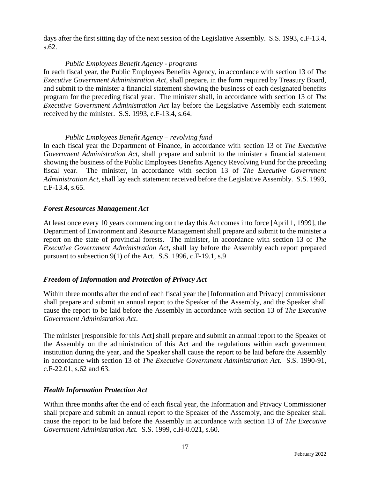days after the first sitting day of the next session of the Legislative Assembly. S.S. 1993, c.F-13.4, s.62.

#### *Public Employees Benefit Agency - programs*

In each fiscal year, the Public Employees Benefits Agency, in accordance with section 13 of *The Executive Government Administration Act*, shall prepare, in the form required by Treasury Board, and submit to the minister a financial statement showing the business of each designated benefits program for the preceding fiscal year. The minister shall, in accordance with section 13 of *The Executive Government Administration Act* lay before the Legislative Assembly each statement received by the minister. S.S. 1993, c.F-13.4, s.64.

#### *Public Employees Benefit Agency – revolving fund*

In each fiscal year the Department of Finance, in accordance with section 13 of *The Executive Government Administration Act*, shall prepare and submit to the minister a financial statement showing the business of the Public Employees Benefits Agency Revolving Fund for the preceding fiscal year. The minister, in accordance with section 13 of *The Executive Government Administration Act*, shall lay each statement received before the Legislative Assembly. S.S. 1993, c.F-13.4, s.65.

## *Forest Resources Management Act*

At least once every 10 years commencing on the day this Act comes into force [April 1, 1999], the Department of Environment and Resource Management shall prepare and submit to the minister a report on the state of provincial forests. The minister, in accordance with section 13 of *The Executive Government Administration Act*, shall lay before the Assembly each report prepared pursuant to subsection 9(1) of the Act. S.S. 1996, c.F-19.1, s.9

## *Freedom of Information and Protection of Privacy Act*

Within three months after the end of each fiscal year the [Information and Privacy] commissioner shall prepare and submit an annual report to the Speaker of the Assembly, and the Speaker shall cause the report to be laid before the Assembly in accordance with section 13 of *The Executive Government Administration Act*.

The minister [responsible for this Act] shall prepare and submit an annual report to the Speaker of the Assembly on the administration of this Act and the regulations within each government institution during the year, and the Speaker shall cause the report to be laid before the Assembly in accordance with section 13 of *The Executive Government Administration Act*. S.S. 1990-91, c.F-22.01, s.62 and 63.

## *Health Information Protection Act*

Within three months after the end of each fiscal year, the Information and Privacy Commissioner shall prepare and submit an annual report to the Speaker of the Assembly, and the Speaker shall cause the report to be laid before the Assembly in accordance with section 13 of *The Executive Government Administration Act.* S.S. 1999, c.H-0.021, s.60.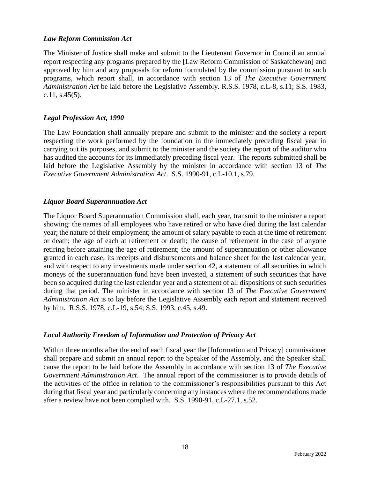#### *Law Reform Commission Act*

The Minister of Justice shall make and submit to the Lieutenant Governor in Council an annual report respecting any programs prepared by the [Law Reform Commission of Saskatchewan] and approved by him and any proposals for reform formulated by the commission pursuant to such programs, which report shall, in accordance with section 13 of *The Executive Government Administration Act* be laid before the Legislative Assembly. R.S.S. 1978, c.L-8, s.11; S.S. 1983, c.11, s.45(5).

#### *Legal Profession Act, 1990*

The Law Foundation shall annually prepare and submit to the minister and the society a report respecting the work performed by the foundation in the immediately preceding fiscal year in carrying out its purposes, and submit to the minister and the society the report of the auditor who has audited the accounts for its immediately preceding fiscal year. The reports submitted shall be laid before the Legislative Assembly by the minister in accordance with section 13 of *The Executive Government Administration Act*. S.S. 1990-91, c.L-10.1, s.79.

#### *Liquor Board Superannuation Act*

The Liquor Board Superannuation Commission shall, each year, transmit to the minister a report showing: the names of all employees who have retired or who have died during the last calendar year; the nature of their employment; the amount of salary payable to each at the time of retirement or death; the age of each at retirement or death; the cause of retirement in the case of anyone retiring before attaining the age of retirement; the amount of superannuation or other allowance granted in each case; its receipts and disbursements and balance sheet for the last calendar year; and with respect to any investments made under section 42, a statement of all securities in which moneys of the superannuation fund have been invested, a statement of such securities that have been so acquired during the last calendar year and a statement of all dispositions of such securities during that period. The minister in accordance with section 13 of *The Executive Government Administration Act* is to lay before the Legislative Assembly each report and statement received by him. R.S.S. 1978, c.L-19, s.54; S.S. 1993, c.45, s.49.

#### *Local Authority Freedom of Information and Protection of Privacy Act*

Within three months after the end of each fiscal year the [Information and Privacy] commissioner shall prepare and submit an annual report to the Speaker of the Assembly, and the Speaker shall cause the report to be laid before the Assembly in accordance with section 13 of *The Executive Government Administration Act*. The annual report of the commissioner is to provide details of the activities of the office in relation to the commissioner's responsibilities pursuant to this Act during that fiscal year and particularly concerning any instances where the recommendations made after a review have not been complied with. S.S. 1990-91, c.L-27.1, s.52.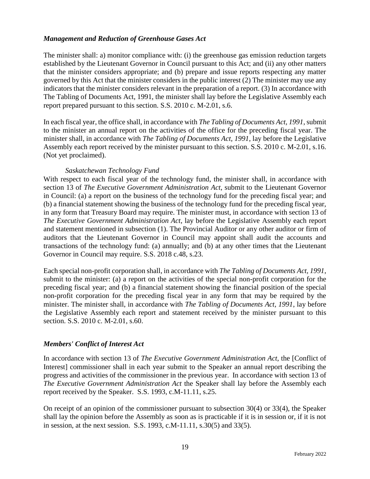#### *Management and Reduction of Greenhouse Gases Act*

The minister shall: a) monitor compliance with: (i) the greenhouse gas emission reduction targets established by the Lieutenant Governor in Council pursuant to this Act; and (ii) any other matters that the minister considers appropriate; and (b) prepare and issue reports respecting any matter governed by this Act that the minister considers in the public interest (2) The minister may use any indicators that the minister considers relevant in the preparation of a report. (3) In accordance with The Tabling of Documents Act, 1991, the minister shall lay before the Legislative Assembly each report prepared pursuant to this section. S.S. 2010 c. M-2.01, s.6.

In each fiscal year, the office shall, in accordance with *The Tabling of Documents Act, 1991*, submit to the minister an annual report on the activities of the office for the preceding fiscal year. The minister shall, in accordance with *The Tabling of Documents Act, 1991*, lay before the Legislative Assembly each report received by the minister pursuant to this section. S.S. 2010 c. M-2.01, s.16. (Not yet proclaimed).

#### *Saskatchewan Technology Fund*

With respect to each fiscal year of the technology fund, the minister shall, in accordance with section 13 of *The Executive Government Administration Act*, submit to the Lieutenant Governor in Council: (a) a report on the business of the technology fund for the preceding fiscal year; and (b) a financial statement showing the business of the technology fund for the preceding fiscal year, in any form that Treasury Board may require. The minister must, in accordance with section 13 of *The Executive Government Administration Act*, lay before the Legislative Assembly each report and statement mentioned in subsection (1). The Provincial Auditor or any other auditor or firm of auditors that the Lieutenant Governor in Council may appoint shall audit the accounts and transactions of the technology fund: (a) annually; and (b) at any other times that the Lieutenant Governor in Council may require. S.S. 2018 c.48, s.23.

Each special non-profit corporation shall, in accordance with *The Tabling of Documents Act, 1991*, submit to the minister: (a) a report on the activities of the special non-profit corporation for the preceding fiscal year; and (b) a financial statement showing the financial position of the special non-profit corporation for the preceding fiscal year in any form that may be required by the minister. The minister shall, in accordance with *The Tabling of Documents Act, 1991*, lay before the Legislative Assembly each report and statement received by the minister pursuant to this section. S.S. 2010 c. M-2.01, s.60.

#### *Members' Conflict of Interest Act*

In accordance with section 13 of *The Executive Government Administration Act*, the [Conflict of Interest] commissioner shall in each year submit to the Speaker an annual report describing the progress and activities of the commissioner in the previous year. In accordance with section 13 of *The Executive Government Administration Act* the Speaker shall lay before the Assembly each report received by the Speaker. S.S. 1993, c.M-11.11, s.25.

On receipt of an opinion of the commissioner pursuant to subsection 30(4) or 33(4), the Speaker shall lay the opinion before the Assembly as soon as is practicable if it is in session or, if it is not in session, at the next session. S.S. 1993, c.M-11.11, s.30(5) and 33(5).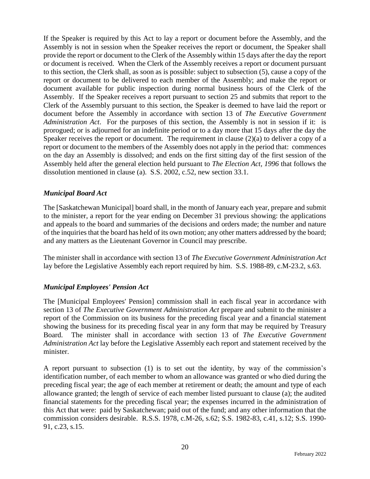If the Speaker is required by this Act to lay a report or document before the Assembly, and the Assembly is not in session when the Speaker receives the report or document, the Speaker shall provide the report or document to the Clerk of the Assembly within 15 days after the day the report or document is received. When the Clerk of the Assembly receives a report or document pursuant to this section, the Clerk shall, as soon as is possible: subject to subsection (5), cause a copy of the report or document to be delivered to each member of the Assembly; and make the report or document available for public inspection during normal business hours of the Clerk of the Assembly. If the Speaker receives a report pursuant to section 25 and submits that report to the Clerk of the Assembly pursuant to this section, the Speaker is deemed to have laid the report or document before the Assembly in accordance with section 13 of *The Executive Government Administration Act*. For the purposes of this section, the Assembly is not in session if it: is prorogued; or is adjourned for an indefinite period or to a day more that 15 days after the day the Speaker receives the report or document. The requirement in clause (2)(a) to deliver a copy of a report or document to the members of the Assembly does not apply in the period that: commences on the day an Assembly is dissolved; and ends on the first sitting day of the first session of the Assembly held after the general election held pursuant to *The Election Act, 1996* that follows the dissolution mentioned in clause (a). S.S. 2002, c.52, new section 33.1.

#### *Municipal Board Act*

The [Saskatchewan Municipal] board shall, in the month of January each year, prepare and submit to the minister, a report for the year ending on December 31 previous showing: the applications and appeals to the board and summaries of the decisions and orders made; the number and nature of the inquiries that the board has held of its own motion; any other matters addressed by the board; and any matters as the Lieutenant Governor in Council may prescribe.

The minister shall in accordance with section 13 of *The Executive Government Administration Act* lay before the Legislative Assembly each report required by him. S.S. 1988-89, c.M-23.2, s.63.

## *Municipal Employees' Pension Act*

The [Municipal Employees' Pension] commission shall in each fiscal year in accordance with section 13 of *The Executive Government Administration Act* prepare and submit to the minister a report of the Commission on its business for the preceding fiscal year and a financial statement showing the business for its preceding fiscal year in any form that may be required by Treasury Board. The minister shall in accordance with section 13 of *The Executive Government Administration Act* lay before the Legislative Assembly each report and statement received by the minister.

A report pursuant to subsection (1) is to set out the identity, by way of the commission's identification number, of each member to whom an allowance was granted or who died during the preceding fiscal year; the age of each member at retirement or death; the amount and type of each allowance granted; the length of service of each member listed pursuant to clause (a); the audited financial statements for the preceding fiscal year; the expenses incurred in the administration of this Act that were: paid by Saskatchewan; paid out of the fund; and any other information that the commission considers desirable. R.S.S. 1978, c.M-26, s.62; S.S. 1982-83, c.41, s.12; S.S. 1990- 91, c.23, s.15.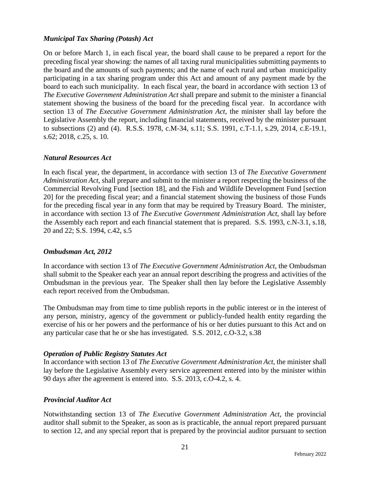#### *Municipal Tax Sharing (Potash) Act*

On or before March 1, in each fiscal year, the board shall cause to be prepared a report for the preceding fiscal year showing: the names of all taxing rural municipalities submitting payments to the board and the amounts of such payments; and the name of each rural and urban municipality participating in a tax sharing program under this Act and amount of any payment made by the board to each such municipality. In each fiscal year, the board in accordance with section 13 of *The Executive Government Administration Act* shall prepare and submit to the minister a financial statement showing the business of the board for the preceding fiscal year. In accordance with section 13 of *The Executive Government Administration Act*, the minister shall lay before the Legislative Assembly the report, including financial statements, received by the minister pursuant to subsections (2) and (4). R.S.S. 1978, c.M-34, s.11; S.S. 1991, c.T-1.1, s.29, 2014, c.E-19.1, s.62; 2018, c.25, s. 10.

#### *Natural Resources Act*

In each fiscal year, the department, in accordance with section 13 of *The Executive Government Administration Act*, shall prepare and submit to the minister a report respecting the business of the Commercial Revolving Fund [section 18], and the Fish and Wildlife Development Fund [section 20] for the preceding fiscal year; and a financial statement showing the business of those Funds for the preceding fiscal year in any form that may be required by Treasury Board. The minister, in accordance with section 13 of *The Executive Government Administration Act*, shall lay before the Assembly each report and each financial statement that is prepared. S.S. 1993, c.N-3.1, s.18, 20 and 22; S.S. 1994, c.42, s.5

#### *Ombudsman Act, 2012*

In accordance with section 13 of *The Executive Government Administration Act*, the Ombudsman shall submit to the Speaker each year an annual report describing the progress and activities of the Ombudsman in the previous year. The Speaker shall then lay before the Legislative Assembly each report received from the Ombudsman.

The Ombudsman may from time to time publish reports in the public interest or in the interest of any person, ministry, agency of the government or publicly-funded health entity regarding the exercise of his or her powers and the performance of his or her duties pursuant to this Act and on any particular case that he or she has investigated. S.S. 2012, c.O-3.2, s.38

## *Operation of Public Registry Statutes Act*

In accordance with section 13 of *The Executive Government Administration Act*, the minister shall lay before the Legislative Assembly every service agreement entered into by the minister within 90 days after the agreement is entered into. S.S. 2013, c.O-4.2, s. 4.

#### *Provincial Auditor Act*

Notwithstanding section 13 of *The Executive Government Administration Act*, the provincial auditor shall submit to the Speaker, as soon as is practicable, the annual report prepared pursuant to section 12, and any special report that is prepared by the provincial auditor pursuant to section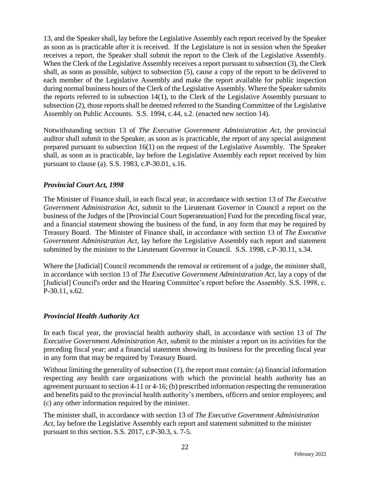13, and the Speaker shall, lay before the Legislative Assembly each report received by the Speaker as soon as is practicable after it is received. If the Legislature is not in session when the Speaker receives a report, the Speaker shall submit the report to the Clerk of the Legislative Assembly. When the Clerk of the Legislative Assembly receives a report pursuant to subsection (3), the Clerk shall, as soon as possible, subject to subsection (5), cause a copy of the report to be delivered to each member of the Legislative Assembly and make the report available for public inspection during normal business hours of the Clerk of the Legislative Assembly. Where the Speaker submits the reports referred to in subsection 14(1), to the Clerk of the Legislative Assembly pursuant to subsection (2), those reports shall be deemed referred to the Standing Committee of the Legislative Assembly on Public Accounts. S.S. 1994, c.44, s.2. (enacted new section 14).

Notwithstanding section 13 of *The Executive Government Administration Act*, the provincial auditor shall submit to the Speaker, as soon as is practicable, the report of any special assignment prepared pursuant to subsection 16(1) on the request of the Legislative Assembly. The Speaker shall, as soon as is practicable, lay before the Legislative Assembly each report received by him pursuant to clause (a). S.S. 1983, c.P-30.01, s.16.

## *Provincial Court Act, 1998*

The Minister of Finance shall, in each fiscal year, in accordance with section 13 of *The Executive Government Administration Act*, submit to the Lieutenant Governor in Council a report on the business of the Judges of the [Provincial Court Superannuation] Fund for the preceding fiscal year, and a financial statement showing the business of the fund, in any form that may be required by Treasury Board. The Minister of Finance shall, in accordance with section 13 of *The Executive Government Administration Act*, lay before the Legislative Assembly each report and statement submitted by the minister to the Lieutenant Governor in Council. S.S. 1998, c.P-30.11, s.34.

Where the [Judicial] Council recommends the removal or retirement of a judge, the minister shall, in accordance with section 13 of *The Executive Government Administration Act*, lay a copy of the [Judicial] Council's order and the Hearing Committee's report before the Assembly. S.S. 1998, c. P-30.11, s.62.

#### *Provincial Health Authority Act*

In each fiscal year, the provincial health authority shall, in accordance with section 13 of *The Executive Government Administration Act*, submit to the minister a report on its activities for the preceding fiscal year; and a financial statement showing its business for the preceding fiscal year in any form that may be required by Treasury Board.

Without limiting the generality of subsection (1), the report must contain: (a) financial information respecting any health care organizations with which the provincial health authority has an agreement pursuant to section 4-11 or 4-16; (b) prescribed information respecting the remuneration and benefits paid to the provincial health authority's members, officers and senior employees; and (c) any other information required by the minister.

The minister shall, in accordance with section 13 of *The Executive Government Administration Act*, lay before the Legislative Assembly each report and statement submitted to the minister pursuant to this section. S.S. 2017, c.P-30.3, s. 7-5.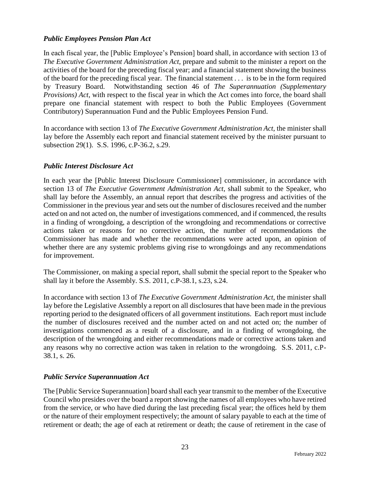#### *Public Employees Pension Plan Act*

In each fiscal year, the [Public Employee's Pension] board shall, in accordance with section 13 of *The Executive Government Administration Act*, prepare and submit to the minister a report on the activities of the board for the preceding fiscal year; and a financial statement showing the business of the board for the preceding fiscal year. The financial statement . . . is to be in the form required by Treasury Board. Notwithstanding section 46 of *The Superannuation (Supplementary Provisions) Act*, with respect to the fiscal year in which the Act comes into force, the board shall prepare one financial statement with respect to both the Public Employees (Government Contributory) Superannuation Fund and the Public Employees Pension Fund.

In accordance with section 13 of *The Executive Government Administration Act*, the minister shall lay before the Assembly each report and financial statement received by the minister pursuant to subsection 29(1). S.S. 1996, c.P-36.2, s.29.

#### *Public Interest Disclosure Act*

In each year the [Public Interest Disclosure Commissioner] commissioner, in accordance with section 13 of *The Executive Government Administration Act*, shall submit to the Speaker, who shall lay before the Assembly, an annual report that describes the progress and activities of the Commissioner in the previous year and sets out the number of disclosures received and the number acted on and not acted on, the number of investigations commenced, and if commenced, the results in a finding of wrongdoing, a description of the wrongdoing and recommendations or corrective actions taken or reasons for no corrective action, the number of recommendations the Commissioner has made and whether the recommendations were acted upon, an opinion of whether there are any systemic problems giving rise to wrongdoings and any recommendations for improvement.

The Commissioner, on making a special report, shall submit the special report to the Speaker who shall lay it before the Assembly. S.S. 2011, c.P-38.1, s.23, s.24.

In accordance with section 13 of *The Executive Government Administration Act*, the minister shall lay before the Legislative Assembly a report on all disclosures that have been made in the previous reporting period to the designated officers of all government institutions. Each report must include the number of disclosures received and the number acted on and not acted on; the number of investigations commenced as a result of a disclosure, and in a finding of wrongdoing, the description of the wrongdoing and either recommendations made or corrective actions taken and any reasons why no corrective action was taken in relation to the wrongdoing. S.S. 2011, c.P-38.1, s. 26.

#### *Public Service Superannuation Act*

The [Public Service Superannuation] board shall each year transmit to the member of the Executive Council who presides over the board a report showing the names of all employees who have retired from the service, or who have died during the last preceding fiscal year; the offices held by them or the nature of their employment respectively; the amount of salary payable to each at the time of retirement or death; the age of each at retirement or death; the cause of retirement in the case of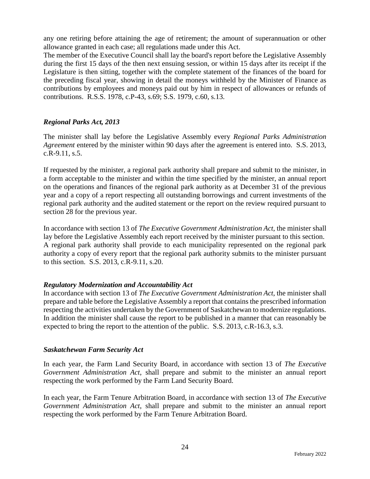any one retiring before attaining the age of retirement; the amount of superannuation or other allowance granted in each case; all regulations made under this Act.

The member of the Executive Council shall lay the board's report before the Legislative Assembly during the first 15 days of the then next ensuing session, or within 15 days after its receipt if the Legislature is then sitting, together with the complete statement of the finances of the board for the preceding fiscal year, showing in detail the moneys withheld by the Minister of Finance as contributions by employees and moneys paid out by him in respect of allowances or refunds of contributions. R.S.S. 1978, c.P-43, s.69; S.S. 1979, c.60, s.13.

## *Regional Parks Act, 2013*

The minister shall lay before the Legislative Assembly every *Regional Parks Administration Agreement* entered by the minister within 90 days after the agreement is entered into. S.S. 2013, c.R-9.11, s.5.

If requested by the minister, a regional park authority shall prepare and submit to the minister, in a form acceptable to the minister and within the time specified by the minister, an annual report on the operations and finances of the regional park authority as at December 31 of the previous year and a copy of a report respecting all outstanding borrowings and current investments of the regional park authority and the audited statement or the report on the review required pursuant to section 28 for the previous year.

In accordance with section 13 of *The Executive Government Administration Act*, the minister shall lay before the Legislative Assembly each report received by the minister pursuant to this section. A regional park authority shall provide to each municipality represented on the regional park authority a copy of every report that the regional park authority submits to the minister pursuant to this section. S.S. 2013, c.R-9.11, s.20.

## *Regulatory Modernization and Accountability Act*

In accordance with section 13 of *The Executive Government Administration Act*, the minister shall prepare and table before the Legislative Assembly a report that contains the prescribed information respecting the activities undertaken by the Government of Saskatchewan to modernize regulations. In addition the minister shall cause the report to be published in a manner that can reasonably be expected to bring the report to the attention of the public. S.S. 2013, c.R-16.3, s.3.

#### *Saskatchewan Farm Security Act*

In each year, the Farm Land Security Board, in accordance with section 13 of *The Executive Government Administration Act*, shall prepare and submit to the minister an annual report respecting the work performed by the Farm Land Security Board.

In each year, the Farm Tenure Arbitration Board, in accordance with section 13 of *The Executive Government Administration Act*, shall prepare and submit to the minister an annual report respecting the work performed by the Farm Tenure Arbitration Board.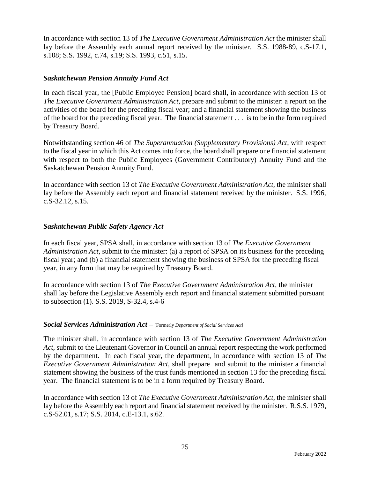In accordance with section 13 of *The Executive Government Administration Act* the minister shall lay before the Assembly each annual report received by the minister. S.S. 1988-89, c.S-17.1, s.108; S.S. 1992, c.74, s.19; S.S. 1993, c.51, s.15.

#### *Saskatchewan Pension Annuity Fund Act*

In each fiscal year, the [Public Employee Pension] board shall, in accordance with section 13 of *The Executive Government Administration Act*, prepare and submit to the minister: a report on the activities of the board for the preceding fiscal year; and a financial statement showing the business of the board for the preceding fiscal year. The financial statement . . . is to be in the form required by Treasury Board.

Notwithstanding section 46 of *The Superannuation (Supplementary Provisions) Act*, with respect to the fiscal year in which this Act comes into force, the board shall prepare one financial statement with respect to both the Public Employees (Government Contributory) Annuity Fund and the Saskatchewan Pension Annuity Fund.

In accordance with section 13 of *The Executive Government Administration Act*, the minister shall lay before the Assembly each report and financial statement received by the minister. S.S. 1996, c.S-32.12, s.15.

#### *Saskatchewan Public Safety Agency Act*

In each fiscal year, SPSA shall, in accordance with section 13 of *The Executive Government Administration Act*, submit to the minister: (a) a report of SPSA on its business for the preceding fiscal year; and (b) a financial statement showing the business of SPSA for the preceding fiscal year, in any form that may be required by Treasury Board.

In accordance with section 13 of *The Executive Government Administration Act*, the minister shall lay before the Legislative Assembly each report and financial statement submitted pursuant to subsection (1). S.S. 2019, S-32.4, s.4-6

#### *Social Services Administration Act –* [Formerly *Department of Social Services Act*]

The minister shall, in accordance with section 13 of *The Executive Government Administration Act*, submit to the Lieutenant Governor in Council an annual report respecting the work performed by the department. In each fiscal year, the department, in accordance with section 13 of *The Executive Government Administration Act*, shall prepare and submit to the minister a financial statement showing the business of the trust funds mentioned in section 13 for the preceding fiscal year. The financial statement is to be in a form required by Treasury Board.

In accordance with section 13 of *The Executive Government Administration Act*, the minister shall lay before the Assembly each report and financial statement received by the minister. R.S.S. 1979, c.S-52.01, s.17; S.S. 2014, c.E-13.1, s.62.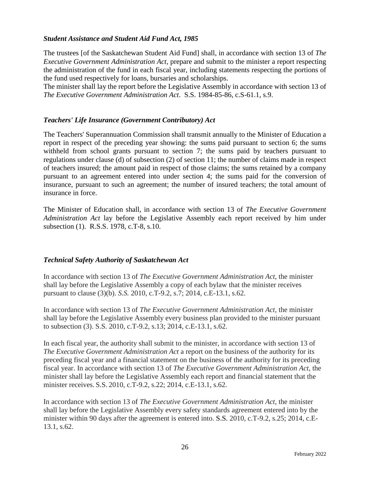#### *Student Assistance and Student Aid Fund Act, 1985*

The trustees [of the Saskatchewan Student Aid Fund] shall, in accordance with section 13 of *The Executive Government Administration Act,* prepare and submit to the minister a report respecting the administration of the fund in each fiscal year, including statements respecting the portions of the fund used respectively for loans, bursaries and scholarships.

The minister shall lay the report before the Legislative Assembly in accordance with section 13 of *The Executive Government Administration Act*. S.S. 1984-85-86, c.S-61.1, s.9.

#### *Teachers' Life Insurance (Government Contributory) Act*

The Teachers' Superannuation Commission shall transmit annually to the Minister of Education a report in respect of the preceding year showing: the sums paid pursuant to section 6; the sums withheld from school grants pursuant to section 7; the sums paid by teachers pursuant to regulations under clause (d) of subsection (2) of section 11; the number of claims made in respect of teachers insured; the amount paid in respect of those claims; the sums retained by a company pursuant to an agreement entered into under section 4; the sums paid for the conversion of insurance, pursuant to such an agreement; the number of insured teachers; the total amount of insurance in force.

The Minister of Education shall, in accordance with section 13 of *The Executive Government Administration Act* lay before the Legislative Assembly each report received by him under subsection (1). R.S.S. 1978, c.T-8, s.10.

## *Technical Safety Authority of Saskatchewan Act*

In accordance with section 13 of *The Executive Government Administration Act*, the minister shall lay before the Legislative Assembly a copy of each bylaw that the minister receives pursuant to clause (3)(b). *S.S.* 2010, c.T-9.2, s.7; 2014, c.E-13.1, s.62.

In accordance with section 13 of *The Executive Government Administration Act*, the minister shall lay before the Legislative Assembly every business plan provided to the minister pursuant to subsection (3). S.S. 2010, c.T-9.2, s.13; 2014, c.E-13.1, s.62.

In each fiscal year, the authority shall submit to the minister, in accordance with section 13 of *The Executive Government Administration Act* a report on the business of the authority for its preceding fiscal year and a financial statement on the business of the authority for its preceding fiscal year. In accordance with section 13 of *The Executive Government Administration Act*, the minister shall lay before the Legislative Assembly each report and financial statement that the minister receives. S.S. 2010, c.T-9.2, s.22; 2014, c.E-13.1, s.62.

In accordance with section 13 of *The Executive Government Administration Act*, the minister shall lay before the Legislative Assembly every safety standards agreement entered into by the minister within 90 days after the agreement is entered into. S.S. 2010, c.T-9.2, s.25; 2014, c.E-13.1, s.62.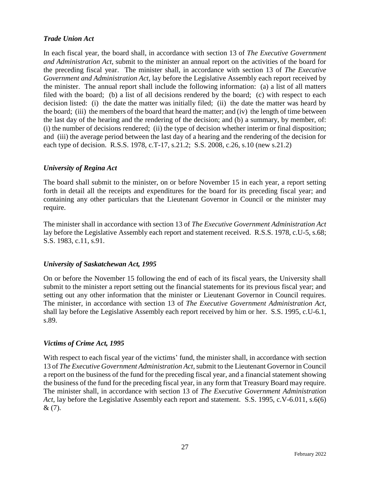#### *Trade Union Act*

In each fiscal year, the board shall, in accordance with section 13 of *The Executive Government and Administration Act*, submit to the minister an annual report on the activities of the board for the preceding fiscal year. The minister shall, in accordance with section 13 of *The Executive Government and Administration Act*, lay before the Legislative Assembly each report received by the minister. The annual report shall include the following information: (a) a list of all matters filed with the board; (b) a list of all decisions rendered by the board; (c) with respect to each decision listed: (i) the date the matter was initially filed; (ii) the date the matter was heard by the board; (iii) the members of the board that heard the matter; and (iv) the length of time between the last day of the hearing and the rendering of the decision; and (b) a summary, by member, of: (i) the number of decisions rendered; (ii) the type of decision whether interim or final disposition; and (iii) the average period between the last day of a hearing and the rendering of the decision for each type of decision. R.S.S. 1978, c.T-17, s.21.2; S.S. 2008, c.26, s.10 (new s.21.2)

## *University of Regina Act*

The board shall submit to the minister, on or before November 15 in each year, a report setting forth in detail all the receipts and expenditures for the board for its preceding fiscal year; and containing any other particulars that the Lieutenant Governor in Council or the minister may require.

The minister shall in accordance with section 13 of *The Executive Government Administration Act* lay before the Legislative Assembly each report and statement received. R.S.S. 1978, c.U-5, s.68; S.S. 1983, c.11, s.91.

#### *University of Saskatchewan Act, 1995*

On or before the November 15 following the end of each of its fiscal years, the University shall submit to the minister a report setting out the financial statements for its previous fiscal year; and setting out any other information that the minister or Lieutenant Governor in Council requires. The minister, in accordance with section 13 of *The Executive Government Administration Act*, shall lay before the Legislative Assembly each report received by him or her. S.S. 1995, c.U-6.1, s.89.

#### *Victims of Crime Act, 1995*

With respect to each fiscal year of the victims' fund, the minister shall, in accordance with section 13 of *The Executive Government Administration Act,* submit to the Lieutenant Governor in Council a report on the business of the fund for the preceding fiscal year, and a financial statement showing the business of the fund for the preceding fiscal year, in any form that Treasury Board may require. The minister shall, in accordance with section 13 of *The Executive Government Administration Act*, lay before the Legislative Assembly each report and statement. S.S. 1995, c.V-6.011, s.6(6) & (7).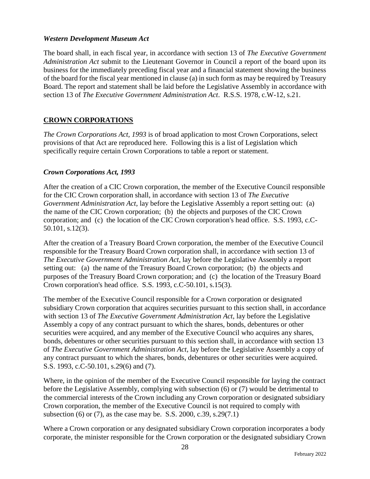#### *Western Development Museum Act*

The board shall, in each fiscal year, in accordance with section 13 of *The Executive Government Administration Act* submit to the Lieutenant Governor in Council a report of the board upon its business for the immediately preceding fiscal year and a financial statement showing the business of the board for the fiscal year mentioned in clause (a) in such form as may be required by Treasury Board. The report and statement shall be laid before the Legislative Assembly in accordance with section 13 of *The Executive Government Administration Act*. R.S.S. 1978, c.W-12, s.21.

## **CROWN CORPORATIONS**

*The Crown Corporations Act, 1993* is of broad application to most Crown Corporations, select provisions of that Act are reproduced here. Following this is a list of Legislation which specifically require certain Crown Corporations to table a report or statement.

#### *Crown Corporations Act, 1993*

After the creation of a CIC Crown corporation, the member of the Executive Council responsible for the CIC Crown corporation shall, in accordance with section 13 of *The Executive Government Administration Act*, lay before the Legislative Assembly a report setting out: (a) the name of the CIC Crown corporation; (b) the objects and purposes of the CIC Crown corporation; and (c) the location of the CIC Crown corporation's head office. S.S. 1993, c.C-50.101, s.12(3).

After the creation of a Treasury Board Crown corporation, the member of the Executive Council responsible for the Treasury Board Crown corporation shall, in accordance with section 13 of *The Executive Government Administration Act*, lay before the Legislative Assembly a report setting out: (a) the name of the Treasury Board Crown corporation; (b) the objects and purposes of the Treasury Board Crown corporation; and (c) the location of the Treasury Board Crown corporation's head office. S.S. 1993, c.C-50.101, s.15(3).

The member of the Executive Council responsible for a Crown corporation or designated subsidiary Crown corporation that acquires securities pursuant to this section shall, in accordance with section 13 of *The Executive Government Administration Act*, lay before the Legislative Assembly a copy of any contract pursuant to which the shares, bonds, debentures or other securities were acquired, and any member of the Executive Council who acquires any shares, bonds, debentures or other securities pursuant to this section shall, in accordance with section 13 of *The Executive Government Administration Act*, lay before the Legislative Assembly a copy of any contract pursuant to which the shares, bonds, debentures or other securities were acquired. S.S. 1993, c.C-50.101, s.29(6) and (7).

Where, in the opinion of the member of the Executive Council responsible for laying the contract before the Legislative Assembly, complying with subsection (6) or (7) would be detrimental to the commercial interests of the Crown including any Crown corporation or designated subsidiary Crown corporation, the member of the Executive Council is not required to comply with subsection (6) or (7), as the case may be. S.S. 2000, c.39, s.29(7.1)

Where a Crown corporation or any designated subsidiary Crown corporation incorporates a body corporate, the minister responsible for the Crown corporation or the designated subsidiary Crown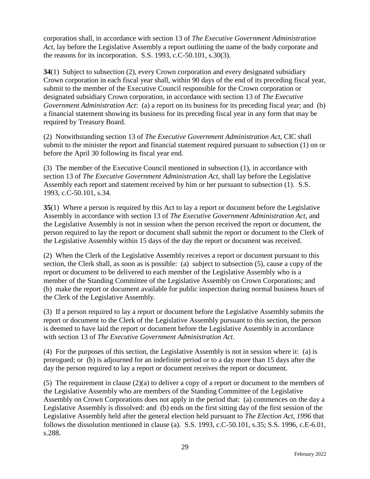corporation shall, in accordance with section 13 of *The Executive Government Administration Act*, lay before the Legislative Assembly a report outlining the name of the body corporate and the reasons for its incorporation. S.S. 1993, c.C-50.101, s.30(3).

**34**(1) Subject to subsection (2), every Crown corporation and every designated subsidiary Crown corporation in each fiscal year shall, within 90 days of the end of its preceding fiscal year, submit to the member of the Executive Council responsible for the Crown corporation or designated subsidiary Crown corporation, in accordance with section 13 of *The Executive Government Administration Act*: (a) a report on its business for its preceding fiscal year; and (b) a financial statement showing its business for its preceding fiscal year in any form that may be required by Treasury Board.

(2) Notwithstanding section 13 of *The Executive Government Administration Act*, CIC shall submit to the minister the report and financial statement required pursuant to subsection (1) on or before the April 30 following its fiscal year end.

(3) The member of the Executive Council mentioned in subsection (1), in accordance with section 13 of *The Executive Government Administration Act*, shall lay before the Legislative Assembly each report and statement received by him or her pursuant to subsection (1). S.S. 1993, c.C-50.101, s.34.

**35**(1) Where a person is required by this Act to lay a report or document before the Legislative Assembly in accordance with section 13 of *The Executive Government Administration Act*, and the Legislative Assembly is not in session when the person received the report or document, the person required to lay the report or document shall submit the report or document to the Clerk of the Legislative Assembly within 15 days of the day the report or document was received.

(2) When the Clerk of the Legislative Assembly receives a report or document pursuant to this section, the Clerk shall, as soon as is possible: (a) subject to subsection (5), cause a copy of the report or document to be delivered to each member of the Legislative Assembly who is a member of the Standing Committee of the Legislative Assembly on Crown Corporations; and (b) make the report or document available for public inspection during normal business hours of the Clerk of the Legislative Assembly.

(3) If a person required to lay a report or document before the Legislative Assembly submits the report or document to the Clerk of the Legislative Assembly pursuant to this section, the person is deemed to have laid the report or document before the Legislative Assembly in accordance with section 13 of *The Executive Government Administration Act*.

(4) For the purposes of this section, the Legislative Assembly is not in session where it: (a) is prorogued; or (b) is adjourned for an indefinite period or to a day more than 15 days after the day the person required to lay a report or document receives the report or document.

(5) The requirement in clause (2)(a) to deliver a copy of a report or document to the members of the Legislative Assembly who are members of the Standing Committee of the Legislative Assembly on Crown Corporations does not apply in the period that: (a) commences on the day a Legislative Assembly is dissolved: and (b) ends on the first sitting day of the first session of the Legislative Assembly held after the general election held pursuant to *The Election Act, 1996* that follows the dissolution mentioned in clause (a). S.S. 1993, c.C-50.101, s.35; S.S. 1996, c.E-6.01, s.288.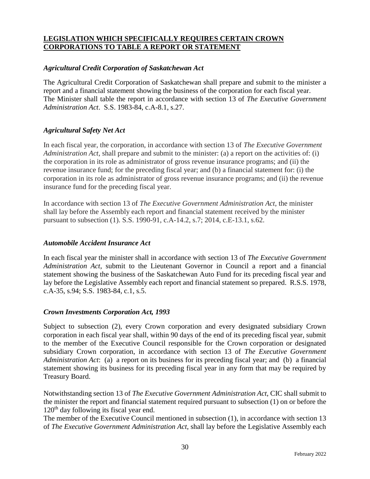#### **LEGISLATION WHICH SPECIFICALLY REQUIRES CERTAIN CROWN CORPORATIONS TO TABLE A REPORT OR STATEMENT**

#### *Agricultural Credit Corporation of Saskatchewan Act*

The Agricultural Credit Corporation of Saskatchewan shall prepare and submit to the minister a report and a financial statement showing the business of the corporation for each fiscal year. The Minister shall table the report in accordance with section 13 of *The Executive Government Administration Act*. S.S. 1983-84, c.A-8.1, s.27.

#### *Agricultural Safety Net Act*

In each fiscal year, the corporation, in accordance with section 13 of *The Executive Government Administration Act*, shall prepare and submit to the minister: (a) a report on the activities of: (i) the corporation in its role as administrator of gross revenue insurance programs; and (ii) the revenue insurance fund; for the preceding fiscal year; and (b) a financial statement for: (i) the corporation in its role as administrator of gross revenue insurance programs; and (ii) the revenue insurance fund for the preceding fiscal year.

In accordance with section 13 of *The Executive Government Administration Act*, the minister shall lay before the Assembly each report and financial statement received by the minister pursuant to subsection (1). S.S. 1990-91, c.A-14.2, s.7; 2014, c.E-13.1, s.62.

#### *Automobile Accident Insurance Act*

In each fiscal year the minister shall in accordance with section 13 of *The Executive Government Administration Act*, submit to the Lieutenant Governor in Council a report and a financial statement showing the business of the Saskatchewan Auto Fund for its preceding fiscal year and lay before the Legislative Assembly each report and financial statement so prepared. R.S.S. 1978, c.A-35, s.94; S.S. 1983-84, c.1, s.5.

#### *Crown Investments Corporation Act, 1993*

Subject to subsection (2), every Crown corporation and every designated subsidiary Crown corporation in each fiscal year shall, within 90 days of the end of its preceding fiscal year, submit to the member of the Executive Council responsible for the Crown corporation or designated subsidiary Crown corporation, in accordance with section 13 of *The Executive Government Administration Act*: (a) a report on its business for its preceding fiscal year; and (b) a financial statement showing its business for its preceding fiscal year in any form that may be required by Treasury Board.

Notwithstanding section 13 of *The Executive Government Administration Act*, CIC shall submit to the minister the report and financial statement required pursuant to subsection (1) on or before the  $120<sup>th</sup>$  day following its fiscal year end.

The member of the Executive Council mentioned in subsection (1), in accordance with section 13 of *The Executive Government Administration Act*, shall lay before the Legislative Assembly each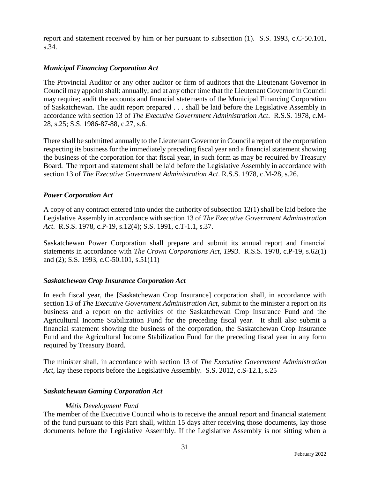report and statement received by him or her pursuant to subsection (1). S.S. 1993, c.C-50.101, s.34.

## *Municipal Financing Corporation Act*

The Provincial Auditor or any other auditor or firm of auditors that the Lieutenant Governor in Council may appoint shall: annually; and at any other time that the Lieutenant Governor in Council may require; audit the accounts and financial statements of the Municipal Financing Corporation of Saskatchewan. The audit report prepared . . . shall be laid before the Legislative Assembly in accordance with section 13 of *The Executive Government Administration Act*. R.S.S. 1978, c.M-28, s.25; S.S. 1986-87-88, c.27, s.6.

There shall be submitted annually to the Lieutenant Governor in Council a report of the corporation respecting its business for the immediately preceding fiscal year and a financial statement showing the business of the corporation for that fiscal year, in such form as may be required by Treasury Board. The report and statement shall be laid before the Legislative Assembly in accordance with section 13 of *The Executive Government Administration Act*. R.S.S. 1978, c.M-28, s.26.

## *Power Corporation Act*

A copy of any contract entered into under the authority of subsection 12(1) shall be laid before the Legislative Assembly in accordance with section 13 of *The Executive Government Administration Act*. R.S.S. 1978, c.P-19, s.12(4); S.S. 1991, c.T-1.1, s.37.

Saskatchewan Power Corporation shall prepare and submit its annual report and financial statements in accordance with *The Crown Corporations Act, 1993*. R.S.S. 1978, c.P-19, s.62(1) and (2); S.S. 1993, c.C-50.101, s.51(11)

## *Saskatchewan Crop Insurance Corporation Act*

In each fiscal year, the [Saskatchewan Crop Insurance] corporation shall, in accordance with section 13 of *The Executive Government Administration Act*, submit to the minister a report on its business and a report on the activities of the Saskatchewan Crop Insurance Fund and the Agricultural Income Stabilization Fund for the preceding fiscal year. It shall also submit a financial statement showing the business of the corporation, the Saskatchewan Crop Insurance Fund and the Agricultural Income Stabilization Fund for the preceding fiscal year in any form required by Treasury Board.

The minister shall, in accordance with section 13 of *The Executive Government Administration Act*, lay these reports before the Legislative Assembly. S.S. 2012, c.S-12.1, s.25

## *Saskatchewan Gaming Corporation Act*

## *Métis Development Fund*

The member of the Executive Council who is to receive the annual report and financial statement of the fund pursuant to this Part shall, within 15 days after receiving those documents, lay those documents before the Legislative Assembly. If the Legislative Assembly is not sitting when a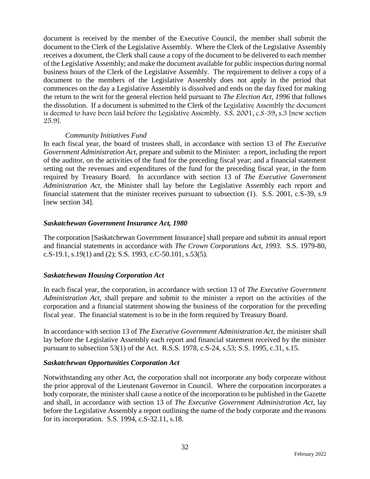document is received by the member of the Executive Council, the member shall submit the document to the Clerk of the Legislative Assembly. Where the Clerk of the Legislative Assembly receives a document, the Clerk shall cause a copy of the document to be delivered to each member of the Legislative Assembly; and make the document available for public inspection during normal business hours of the Clerk of the Legislative Assembly. The requirement to deliver a copy of a document to the members of the Legislative Assembly does not apply in the period that commences on the day a Legislative Assembly is dissolved and ends on the day fixed for making the return to the writ for the general election held pursuant to *The Election Act, 1996* that follows the dissolution. If a document is submitted to the Clerk of the Legislative Assembly the document is deemed to have been laid before the Legislative Assembly. S.S. 2001, c.S-39, s.3 [new section 25.9].

#### *Community Initiatives Fund*

In each fiscal year, the board of trustees shall, in accordance with section 13 of *The Executive Government Administration Act*, prepare and submit to the Minister: a report, including the report of the auditor, on the activities of the fund for the preceding fiscal year; and a financial statement setting out the revenues and expenditures of the fund for the preceding fiscal year, in the form required by Treasury Board. In accordance with section 13 of *The Executive Government Administration Act*, the Minister shall lay before the Legislative Assembly each report and financial statement that the minister receives pursuant to subsection (1). S.S. 2001, c.S-39, s.9 [new section 34].

#### *Saskatchewan Government Insurance Act, 1980*

The corporation [Saskatchewan Government Insurance] shall prepare and submit its annual report and financial statements in accordance with *The Crown Corporations Act, 1993*. S.S. 1979-80, c.S-19.1, s.19(1) and (2); S.S. 1993, c.C-50.101, s.53(5).

## *Saskatchewan Housing Corporation Act*

In each fiscal year, the corporation, in accordance with section 13 of *The Executive Government Administration Act,* shall prepare and submit to the minister a report on the activities of the corporation and a financial statement showing the business of the corporation for the preceding fiscal year. The financial statement is to be in the form required by Treasury Board.

In accordance with section 13 of *The Executive Government Administration Act,* the minister shall lay before the Legislative Assembly each report and financial statement received by the minister pursuant to subsection 53(1) of the Act. R.S.S. 1978, c.S-24, s.53; S.S. 1995, c.31, s.15.

#### *Saskatchewan Opportunities Corporation Act*

Notwithstanding any other Act, the corporation shall not incorporate any body corporate without the prior approval of the Lieutenant Governor in Council. Where the corporation incorporates a body corporate, the minister shall cause a notice of the incorporation to be published in the Gazette and shall, in accordance with section 13 of *The Executive Government Administration Act,* lay before the Legislative Assembly a report outlining the name of the body corporate and the reasons for its incorporation. S.S. 1994, c.S-32.11, s.18.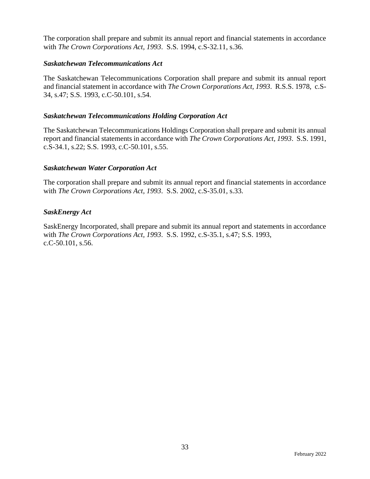The corporation shall prepare and submit its annual report and financial statements in accordance with *The Crown Corporations Act, 1993*. S.S. 1994, c.S-32.11, s.36.

#### *Saskatchewan Telecommunications Act*

The Saskatchewan Telecommunications Corporation shall prepare and submit its annual report and financial statement in accordance with *The Crown Corporations Act, 1993*.R.S.S. 1978, c.S-34, s.47; S.S. 1993, c.C-50.101, s.54.

#### *Saskatchewan Telecommunications Holding Corporation Act*

The Saskatchewan Telecommunications Holdings Corporation shall prepare and submit its annual report and financial statements in accordance with *The Crown Corporations Act, 1993*. S.S. 1991, c.S-34.1, s.22; S.S. 1993, c.C-50.101, s.55.

#### *Saskatchewan Water Corporation Act*

The corporation shall prepare and submit its annual report and financial statements in accordance with *The Crown Corporations Act, 1993*. S.S. 2002, c.S-35.01, s.33.

#### *SaskEnergy Act*

SaskEnergy Incorporated, shall prepare and submit its annual report and statements in accordance with *The Crown Corporations Act, 1993*. S.S. 1992, c.S-35.1, s.47; S.S. 1993, c.C-50.101, s.56.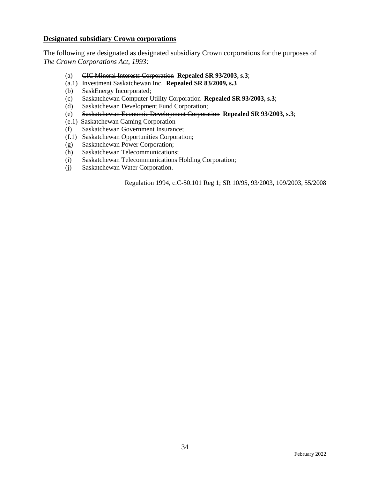#### **Designated subsidiary Crown corporations**

The following are designated as designated subsidiary Crown corporations for the purposes of *The Crown Corporations Act, 1993*:

- (a) CIC Mineral Interests Corporation **Repealed SR 93/2003, s.3**;
- (a.1) Investment Saskatchewan Inc. **Repealed SR 83/2009, s.3**
- (b) SaskEnergy Incorporated;
- (c) Saskatchewan Computer Utility Corporation **Repealed SR 93/2003, s.3**;
- (d) Saskatchewan Development Fund Corporation;
- (e) Saskatchewan Economic Development Corporation **Repealed SR 93/2003, s.3**;
- (e.1) Saskatchewan Gaming Corporation
- (f) Saskatchewan Government Insurance;
- (f.1) Saskatchewan Opportunities Corporation;
- (g) Saskatchewan Power Corporation;
- (h) Saskatchewan Telecommunications;
- (i) Saskatchewan Telecommunications Holding Corporation;
- (j) Saskatchewan Water Corporation.

Regulation 1994, c.C-50.101 Reg 1; SR 10/95, 93/2003, 109/2003, 55/2008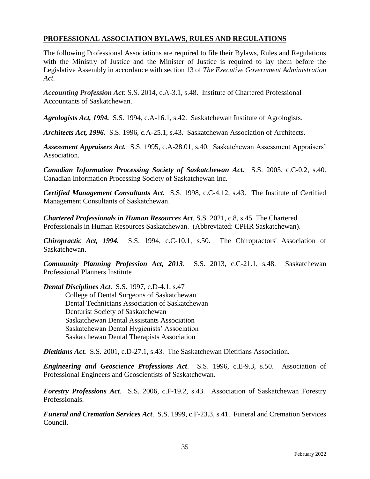#### **PROFESSIONAL ASSOCIATION BYLAWS, RULES AND REGULATIONS**

The following Professional Associations are required to file their Bylaws, Rules and Regulations with the Ministry of Justice and the Minister of Justice is required to lay them before the Legislative Assembly in accordance with section 13 of *The Executive Government Administration Act*.

*Accounting Profession Act*: S.S. 2014, c.A-3.1, s.48. Institute of Chartered Professional Accountants of Saskatchewan.

*Agrologists Act, 1994.* S.S. 1994, c.A-16.1, s.42. Saskatchewan Institute of Agrologists.

*Architects Act, 1996.* S.S. 1996, c.A-25.1, s.43. Saskatchewan Association of Architects.

*Assessment Appraisers Act.* S.S. 1995, c.A-28.01, s.40. Saskatchewan Assessment Appraisers' Association.

*Canadian Information Processing Society of Saskatchewan Act.* S.S. 2005, c.C-0.2, s.40. Canadian Information Processing Society of Saskatchewan Inc.

*Certified Management Consultants Act.* S.S. 1998, c.C-4.12, s.43. The Institute of Certified Management Consultants of Saskatchewan.

*Chartered Professionals in Human Resources Act*. S.S. 2021, c.8, s.45. The Chartered Professionals in Human Resources Saskatchewan. (Abbreviated: CPHR Saskatchewan).

*Chiropractic Act, 1994.* S.S. 1994, c.C-10.1, s.50. The Chiropractors' Association of Saskatchewan.

*Community Planning Profession Act, 2013*. S.S. 2013, c.C-21.1, s.48. Saskatchewan Professional Planners Institute

*Dental Disciplines Act*. S.S. 1997, c.D-4.1, s.47 College of Dental Surgeons of Saskatchewan Dental Technicians Association of Saskatchewan Denturist Society of Saskatchewan Saskatchewan Dental Assistants Association Saskatchewan Dental Hygienists' Association Saskatchewan Dental Therapists Association

*Dietitians Act.* S.S. 2001, c.D-27.1, s.43. The Saskatchewan Dietitians Association.

*Engineering and Geoscience Professions Act*. S.S. 1996, c.E-9.3, s.50. Association of Professional Engineers and Geoscientists of Saskatchewan.

*Forestry Professions Act*. S.S. 2006, c.F-19.2, s.43. Association of Saskatchewan Forestry Professionals.

*Funeral and Cremation Services Act*. S.S. 1999, c.F-23.3, s.41. Funeral and Cremation Services Council.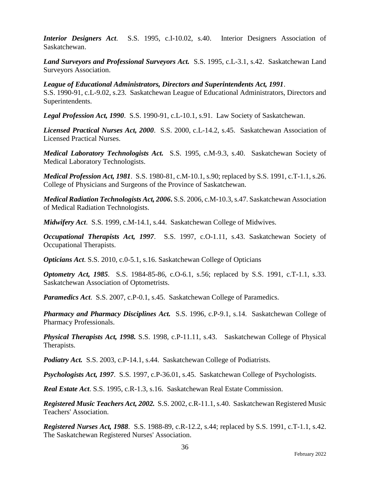*Interior Designers Act*. S.S. 1995, c.I-10.02, s.40. Interior Designers Association of Saskatchewan.

*Land Surveyors and Professional Surveyors Act.* S.S. 1995, c.L-3.1, s.42. Saskatchewan Land Surveyors Association.

#### *League of Educational Administrators, Directors and Superintendents Act, 1991*.

S.S. 1990-91, c.L-9.02, s.23. Saskatchewan League of Educational Administrators, Directors and Superintendents.

*Legal Profession Act, 1990*. S.S. 1990-91, c.L-10.1, s.91. Law Society of Saskatchewan.

*Licensed Practical Nurses Act, 2000*. S.S. 2000, c.L-14.2, s.45. Saskatchewan Association of Licensed Practical Nurses.

*Medical Laboratory Technologists Act.* S.S. 1995, c.M-9.3, s.40. Saskatchewan Society of Medical Laboratory Technologists.

*Medical Profession Act, 1981*. S.S. 1980-81, c.M-10.1, s.90; replaced by S.S. 1991, c.T-1.1, s.26. College of Physicians and Surgeons of the Province of Saskatchewan.

*Medical Radiation Technologists Act, 2006***.** S.S. 2006, c.M-10.3, s.47. Saskatchewan Association of Medical Radiation Technologists.

*Midwifery Act*. S.S. 1999, c.M-14.1, s.44. Saskatchewan College of Midwives.

*Occupational Therapists Act, 1997*. S.S. 1997, c.O-1.11, s.43. Saskatchewan Society of Occupational Therapists.

*Opticians Act*. S.S. 2010, c.0-5.1, s.16. Saskatchewan College of Opticians

*Optometry Act, 1985*. S.S. 1984-85-86, c.O-6.1, s.56; replaced by S.S. 1991, c.T-1.1, s.33. Saskatchewan Association of Optometrists.

*Paramedics Act*. S.S. 2007, c.P-0.1, s.45. Saskatchewan College of Paramedics.

*Pharmacy and Pharmacy Disciplines Act.* S.S. 1996, c.P-9.1, s.14. Saskatchewan College of Pharmacy Professionals.

*Physical Therapists Act, 1998.* S.S. 1998, c.P-11.11, s.43. Saskatchewan College of Physical Therapists.

*Podiatry Act.* S.S. 2003, c.P-14.1, s.44. Saskatchewan College of Podiatrists.

*Psychologists Act, 1997*. S.S. 1997, c.P-36.01, s.45. Saskatchewan College of Psychologists.

*Real Estate Act*. S.S. 1995, c.R-1.3, s.16. Saskatchewan Real Estate Commission.

*Registered Music Teachers Act, 2002.* S.S. 2002, c.R-11.1, s.40. Saskatchewan Registered Music Teachers' Association.

*Registered Nurses Act, 1988*. S.S. 1988-89, c.R-12.2, s.44; replaced by S.S. 1991, c.T-1.1, s.42. The Saskatchewan Registered Nurses' Association.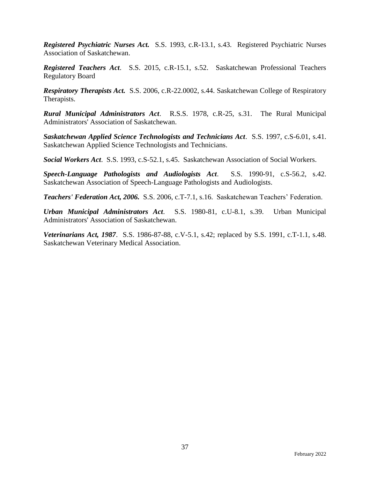*Registered Psychiatric Nurses Act.* S.S. 1993, c.R-13.1, s.43. Registered Psychiatric Nurses Association of Saskatchewan.

*Registered Teachers Act*. S.S. 2015, c.R-15.1, s.52. Saskatchewan Professional Teachers Regulatory Board

*Respiratory Therapists Act.* S.S. 2006, c.R-22.0002, s.44. Saskatchewan College of Respiratory Therapists.

*Rural Municipal Administrators Act*. R.S.S. 1978, c.R-25, s.31. The Rural Municipal Administrators' Association of Saskatchewan.

*Saskatchewan Applied Science Technologists and Technicians Act*. S.S. 1997, c.S-6.01, s.41. Saskatchewan Applied Science Technologists and Technicians.

*Social Workers Act*. S.S. 1993, c.S-52.1, s.45. Saskatchewan Association of Social Workers.

*Speech-Language Pathologists and Audiologists Act*. S.S. 1990-91, c.S-56.2, s.42. Saskatchewan Association of Speech-Language Pathologists and Audiologists.

*Teachers' Federation Act, 2006.* S.S. 2006, c.T-7.1, s.16. Saskatchewan Teachers' Federation.

*Urban Municipal Administrators Act*. S.S. 1980-81, c.U-8.1, s.39. Urban Municipal Administrators' Association of Saskatchewan.

*Veterinarians Act, 1987*. S.S. 1986-87-88, c.V-5.1, s.42; replaced by S.S. 1991, c.T-1.1, s.48. Saskatchewan Veterinary Medical Association.